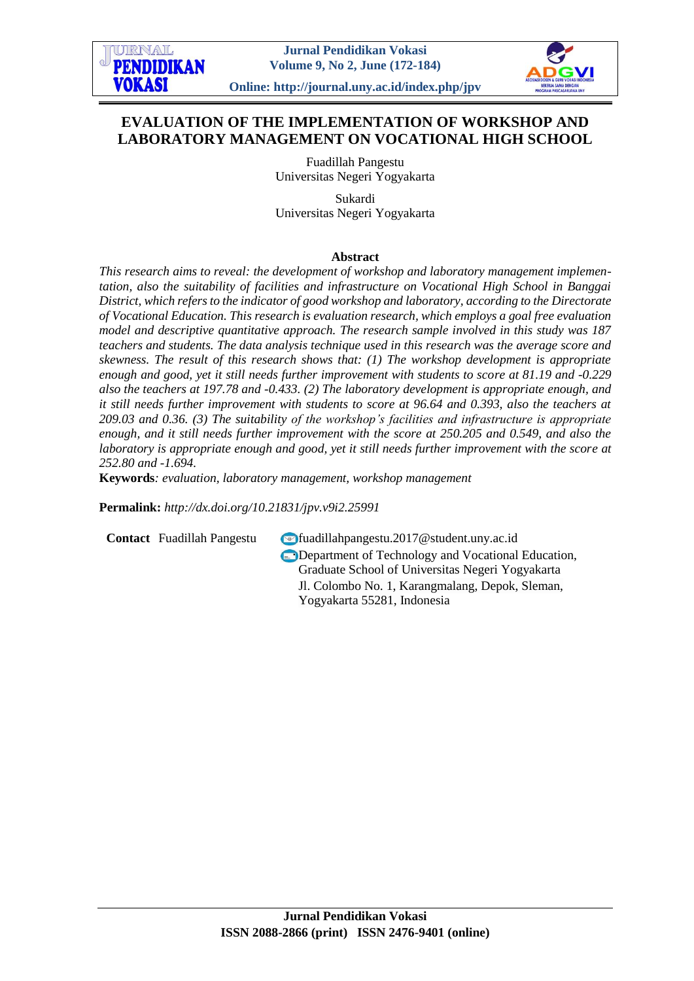

**Online: http://journal.uny.ac.id/index.php/jpv**

# **EVALUATION OF THE IMPLEMENTATION OF WORKSHOP AND LABORATORY MANAGEMENT ON VOCATIONAL HIGH SCHOOL**

Fuadillah Pangestu Universitas Negeri Yogyakarta

Sukardi Universitas Negeri Yogyakarta

### **Abstract**

*This research aims to reveal: the development of workshop and laboratory management implementation, also the suitability of facilities and infrastructure on Vocational High School in Banggai District, which refers to the indicator of good workshop and laboratory, according to the Directorate of Vocational Education. This research is evaluation research, which employs a goal free evaluation model and descriptive quantitative approach. The research sample involved in this study was 187 teachers and students. The data analysis technique used in this research was the average score and skewness. The result of this research shows that: (1) The workshop development is appropriate enough and good, yet it still needs further improvement with students to score at 81.19 and -0.229 also the teachers at 197.78 and -0.433. (2) The laboratory development is appropriate enough, and it still needs further improvement with students to score at 96.64 and 0.393, also the teachers at 209.03 and 0.36. (3) The suitability of the workshop's facilities and infrastructure is appropriate enough, and it still needs further improvement with the score at 250.205 and 0.549, and also the laboratory is appropriate enough and good, yet it still needs further improvement with the score at 252.80 and -1.694.*

**Keywords***: evaluation, laboratory management, workshop management*

**Permalink:** *http://dx.doi.org[/10.21831/jpv.v9i2.25991](http://dx.doi.org/10.21831/jpv.v9i2.25991)*

**Contact** Fuadillah Pangestu **Contact** Fuadillahpangestu.2017@student.uny.ac.id Department of Technology and Vocational Education, Graduate School of Universitas Negeri Yogyakarta Jl. Colombo No. 1, Karangmalang, Depok, Sleman, Yogyakarta 55281, Indonesia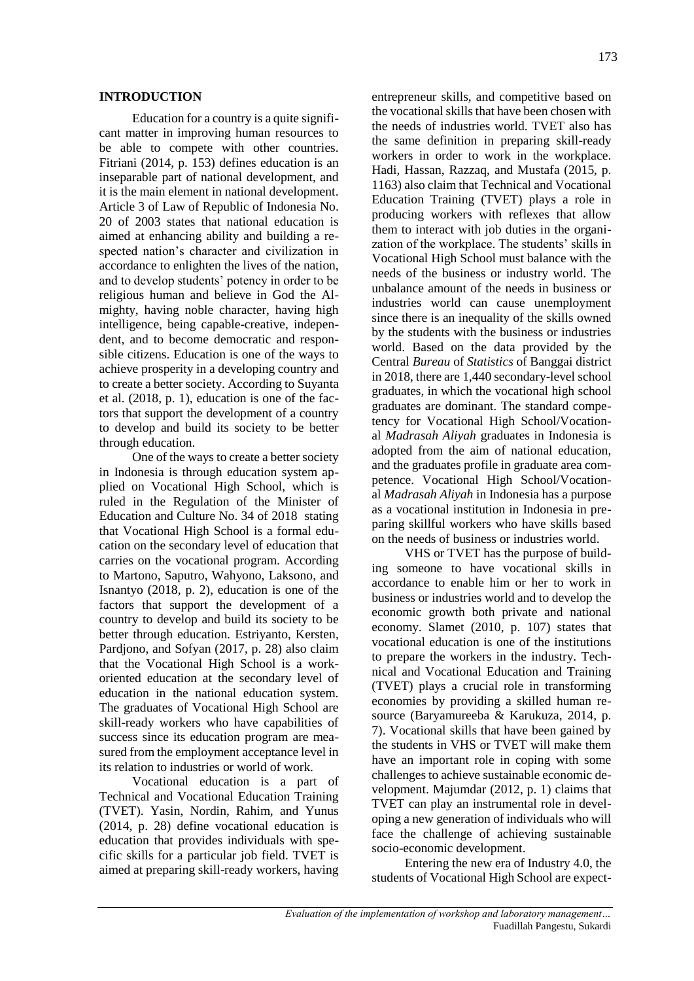#### **INTRODUCTION**

Education for a country is a quite significant matter in improving human resources to be able to compete with other countries. Fitriani (2014, p. 153) defines education is an inseparable part of national development, and it is the main element in national development. Article 3 of Law of Republic of Indonesia No. 20 of 2003 states that national education is aimed at enhancing ability and building a respected nation's character and civilization in accordance to enlighten the lives of the nation, and to develop students' potency in order to be religious human and believe in God the Almighty, having noble character, having high intelligence, being capable-creative, independent, and to become democratic and responsible citizens. Education is one of the ways to achieve prosperity in a developing country and to create a better society. According to Suyanta et al. (2018, p. 1), education is one of the factors that support the development of a country to develop and build its society to be better through education.

One of the ways to create a better society in Indonesia is through education system applied on Vocational High School, which is ruled in the Regulation of the Minister of Education and Culture No. 34 of 2018 stating that Vocational High School is a formal education on the secondary level of education that carries on the vocational program. According to Martono, Saputro, Wahyono, Laksono, and Isnantyo (2018, p. 2), education is one of the factors that support the development of a country to develop and build its society to be better through education*.* Estriyanto, Kersten, Pardjono, and Sofyan (2017, p. 28) also claim that the Vocational High School is a workoriented education at the secondary level of education in the national education system. The graduates of Vocational High School are skill-ready workers who have capabilities of success since its education program are measured from the employment acceptance level in its relation to industries or world of work.

Vocational education is a part of Technical and Vocational Education Training (TVET). Yasin, Nordin, Rahim, and Yunus (2014, p. 28) define vocational education is education that provides individuals with specific skills for a particular job field. TVET is aimed at preparing skill-ready workers, having

entrepreneur skills, and competitive based on the vocational skills that have been chosen with the needs of industries world. TVET also has the same definition in preparing skill-ready workers in order to work in the workplace. Hadi, Hassan, Razzaq, and Mustafa (2015, p. 1163) also claim that Technical and Vocational Education Training (TVET) plays a role in producing workers with reflexes that allow them to interact with job duties in the organization of the workplace. The students' skills in Vocational High School must balance with the needs of the business or industry world. The unbalance amount of the needs in business or industries world can cause unemployment since there is an inequality of the skills owned by the students with the business or industries world. Based on the data provided by the Central *Bureau* of *Statistics* of Banggai district in 2018, there are 1,440 secondary-level school graduates, in which the vocational high school graduates are dominant. The standard competency for Vocational High School/Vocational *Madrasah Aliyah* graduates in Indonesia is adopted from the aim of national education, and the graduates profile in graduate area competence. Vocational High School/Vocational *Madrasah Aliyah* in Indonesia has a purpose as a vocational institution in Indonesia in preparing skillful workers who have skills based on the needs of business or industries world.

VHS or TVET has the purpose of building someone to have vocational skills in accordance to enable him or her to work in business or industries world and to develop the economic growth both private and national economy. Slamet (2010, p. 107) states that vocational education is one of the institutions to prepare the workers in the industry. Technical and Vocational Education and Training (TVET) plays a crucial role in transforming economies by providing a skilled human resource (Baryamureeba & Karukuza, 2014, p. 7). Vocational skills that have been gained by the students in VHS or TVET will make them have an important role in coping with some challenges to achieve sustainable economic development. Majumdar (2012, p. 1) claims that TVET can play an instrumental role in developing a new generation of individuals who will face the challenge of achieving sustainable socio-economic development.

Entering the new era of Industry 4.0, the students of Vocational High School are expect-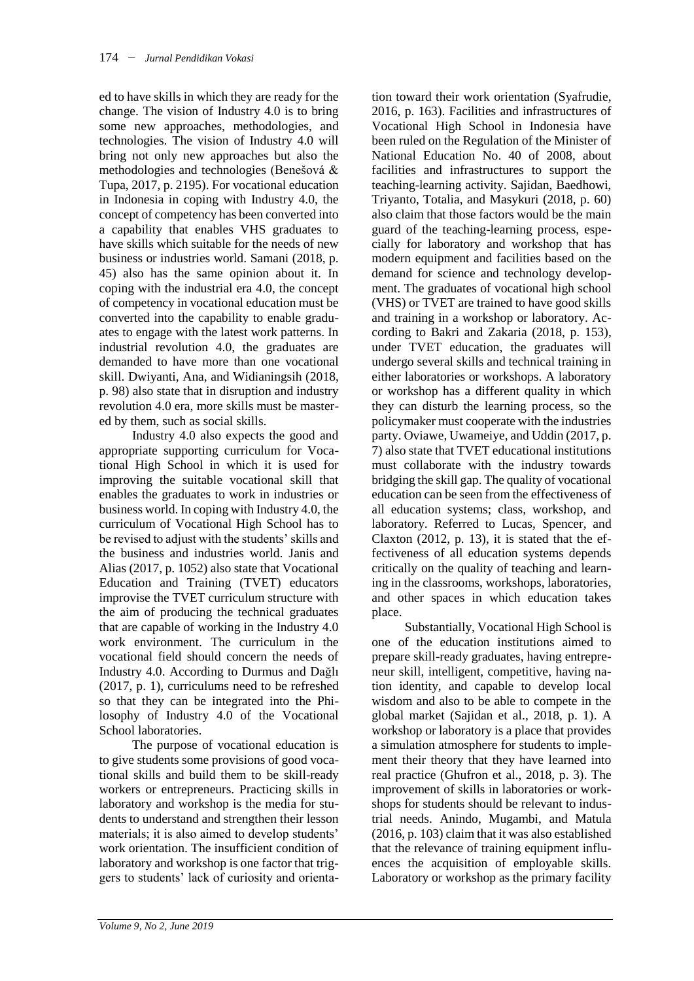ed to have skills in which they are ready for the change. The vision of Industry 4.0 is to bring some new approaches, methodologies, and technologies. The vision of Industry 4.0 will bring not only new approaches but also the methodologies and technologies (Benešová & Tupa, 2017, p. 2195). For vocational education in Indonesia in coping with Industry 4.0, the concept of competency has been converted into a capability that enables VHS graduates to have skills which suitable for the needs of new business or industries world. Samani (2018, p. 45) also has the same opinion about it. In coping with the industrial era 4.0, the concept of competency in vocational education must be converted into the capability to enable graduates to engage with the latest work patterns. In industrial revolution 4.0, the graduates are demanded to have more than one vocational skill. Dwiyanti, Ana, and Widianingsih (2018, p. 98) also state that in disruption and industry revolution 4.0 era, more skills must be mastered by them, such as social skills.

Industry 4.0 also expects the good and appropriate supporting curriculum for Vocational High School in which it is used for improving the suitable vocational skill that enables the graduates to work in industries or business world. In coping with Industry 4.0, the curriculum of Vocational High School has to be revised to adjust with the students' skills and the business and industries world. Janis and Alias (2017, p. 1052) also state that Vocational Education and Training (TVET) educators improvise the TVET curriculum structure with the aim of producing the technical graduates that are capable of working in the Industry 4.0 work environment. The curriculum in the vocational field should concern the needs of Industry 4.0. According to Durmus and Dağlı (2017, p. 1), curriculums need to be refreshed so that they can be integrated into the Philosophy of Industry 4.0 of the Vocational School laboratories.

The purpose of vocational education is to give students some provisions of good vocational skills and build them to be skill-ready workers or entrepreneurs. Practicing skills in laboratory and workshop is the media for students to understand and strengthen their lesson materials; it is also aimed to develop students' work orientation. The insufficient condition of laboratory and workshop is one factor that triggers to students' lack of curiosity and orienta-

tion toward their work orientation (Syafrudie, 2016, p. 163). Facilities and infrastructures of Vocational High School in Indonesia have been ruled on the Regulation of the Minister of National Education No. 40 of 2008, about facilities and infrastructures to support the teaching-learning activity. Sajidan, Baedhowi, Triyanto, Totalia, and Masykuri (2018, p. 60) also claim that those factors would be the main guard of the teaching-learning process, especially for laboratory and workshop that has modern equipment and facilities based on the demand for science and technology development. The graduates of vocational high school (VHS) or TVET are trained to have good skills and training in a workshop or laboratory. According to Bakri and Zakaria (2018, p. 153), under TVET education, the graduates will undergo several skills and technical training in either laboratories or workshops. A laboratory or workshop has a different quality in which they can disturb the learning process, so the policymaker must cooperate with the industries party. Oviawe, Uwameiye, and Uddin (2017, p. 7) also state that TVET educational institutions must collaborate with the industry towards bridging the skill gap. The quality of vocational education can be seen from the effectiveness of all education systems; class, workshop, and laboratory. Referred to Lucas, Spencer, and Claxton (2012, p. 13), it is stated that the effectiveness of all education systems depends critically on the quality of teaching and learning in the classrooms, workshops, laboratories, and other spaces in which education takes place.

Substantially, Vocational High School is one of the education institutions aimed to prepare skill-ready graduates, having entrepreneur skill, intelligent, competitive, having nation identity, and capable to develop local wisdom and also to be able to compete in the global market (Sajidan et al., 2018, p. 1). A workshop or laboratory is a place that provides a simulation atmosphere for students to implement their theory that they have learned into real practice (Ghufron et al., 2018, p. 3). The improvement of skills in laboratories or workshops for students should be relevant to industrial needs. Anindo, Mugambi, and Matula (2016, p. 103) claim that it was also established that the relevance of training equipment influences the acquisition of employable skills. Laboratory or workshop as the primary facility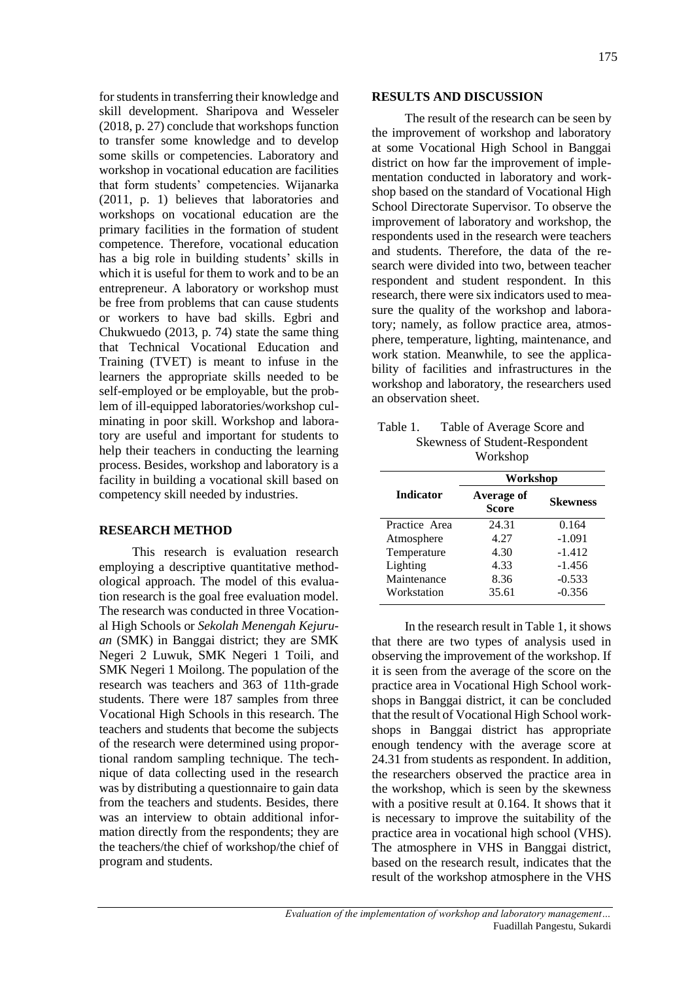for students in transferring their knowledge and skill development. Sharipova and Wesseler (2018, p. 27) conclude that workshops function to transfer some knowledge and to develop some skills or competencies. Laboratory and workshop in vocational education are facilities that form students' competencies. Wijanarka (2011, p. 1) believes that laboratories and workshops on vocational education are the primary facilities in the formation of student competence. Therefore, vocational education has a big role in building students' skills in which it is useful for them to work and to be an entrepreneur. A laboratory or workshop must be free from problems that can cause students or workers to have bad skills. Egbri and Chukwuedo (2013, p. 74) state the same thing that Technical Vocational Education and Training (TVET) is meant to infuse in the learners the appropriate skills needed to be self-employed or be employable, but the problem of ill-equipped laboratories/workshop culminating in poor skill. Workshop and laboratory are useful and important for students to help their teachers in conducting the learning process. Besides, workshop and laboratory is a facility in building a vocational skill based on competency skill needed by industries.

### **RESEARCH METHOD**

This research is evaluation research employing a descriptive quantitative methodological approach. The model of this evaluation research is the goal free evaluation model. The research was conducted in three Vocational High Schools or *Sekolah Menengah Kejuruan* (SMK) in Banggai district; they are SMK Negeri 2 Luwuk, SMK Negeri 1 Toili, and SMK Negeri 1 Moilong. The population of the research was teachers and 363 of 11th-grade students. There were 187 samples from three Vocational High Schools in this research. The teachers and students that become the subjects of the research were determined using proportional random sampling technique. The technique of data collecting used in the research was by distributing a questionnaire to gain data from the teachers and students. Besides, there was an interview to obtain additional information directly from the respondents; they are the teachers/the chief of workshop/the chief of program and students.

### **RESULTS AND DISCUSSION**

The result of the research can be seen by the improvement of workshop and laboratory at some Vocational High School in Banggai district on how far the improvement of implementation conducted in laboratory and workshop based on the standard of Vocational High School Directorate Supervisor. To observe the improvement of laboratory and workshop, the respondents used in the research were teachers and students. Therefore, the data of the research were divided into two, between teacher respondent and student respondent. In this research, there were six indicators used to measure the quality of the workshop and laboratory; namely, as follow practice area, atmosphere, temperature, lighting, maintenance, and work station. Meanwhile, to see the applicability of facilities and infrastructures in the workshop and laboratory, the researchers used an observation sheet.

| Table 1. Table of Average Score and |
|-------------------------------------|
| Skewness of Student-Respondent      |
| Workshop                            |

|                  | Workshop                   |                 |
|------------------|----------------------------|-----------------|
| <b>Indicator</b> | Average of<br><b>Score</b> | <b>Skewness</b> |
| Practice Area    | 24.31                      | 0.164           |
| Atmosphere       | 4.27                       | $-1.091$        |
| Temperature      | 4.30                       | $-1.412$        |
| Lighting         | 4.33                       | $-1.456$        |
| Maintenance      | 8.36                       | $-0.533$        |
| Workstation      | 35.61                      | $-0.356$        |

In the research result in Table 1, it shows that there are two types of analysis used in observing the improvement of the workshop. If it is seen from the average of the score on the practice area in Vocational High School workshops in Banggai district, it can be concluded that the result of Vocational High School workshops in Banggai district has appropriate enough tendency with the average score at 24.31 from students as respondent. In addition, the researchers observed the practice area in the workshop, which is seen by the skewness with a positive result at 0.164. It shows that it is necessary to improve the suitability of the practice area in vocational high school (VHS). The atmosphere in VHS in Banggai district, based on the research result, indicates that the result of the workshop atmosphere in the VHS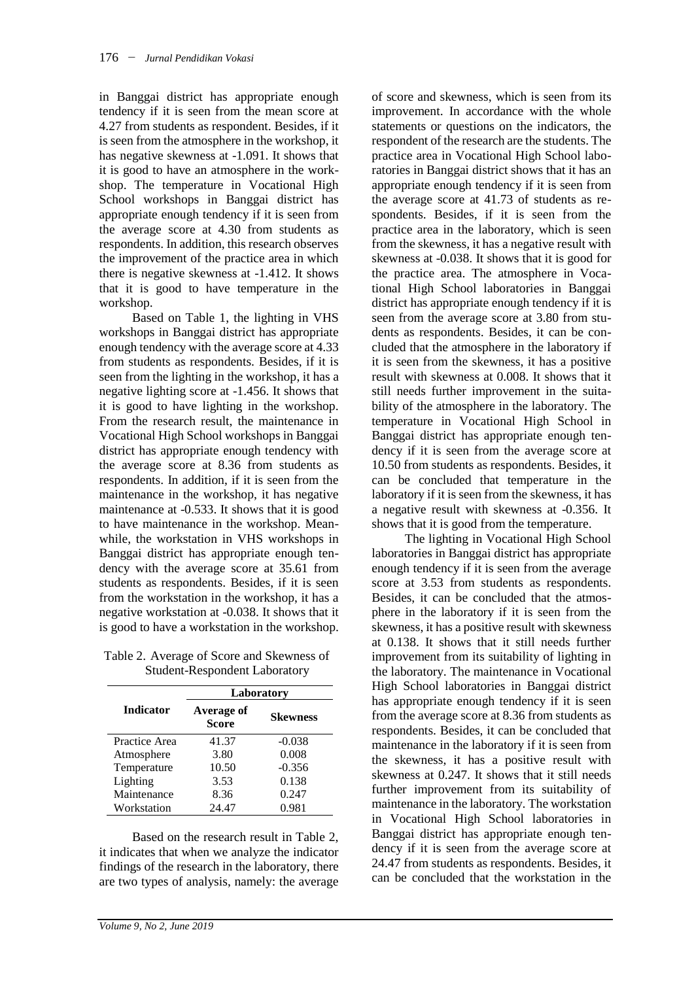in Banggai district has appropriate enough tendency if it is seen from the mean score at 4.27 from students as respondent. Besides, if it is seen from the atmosphere in the workshop, it has negative skewness at -1.091. It shows that it is good to have an atmosphere in the workshop. The temperature in Vocational High School workshops in Banggai district has appropriate enough tendency if it is seen from the average score at 4.30 from students as respondents. In addition, this research observes the improvement of the practice area in which there is negative skewness at -1.412. It shows that it is good to have temperature in the workshop.

Based on Table 1, the lighting in VHS workshops in Banggai district has appropriate enough tendency with the average score at 4.33 from students as respondents. Besides, if it is seen from the lighting in the workshop, it has a negative lighting score at -1.456. It shows that it is good to have lighting in the workshop. From the research result, the maintenance in Vocational High School workshops in Banggai district has appropriate enough tendency with the average score at 8.36 from students as respondents. In addition, if it is seen from the maintenance in the workshop, it has negative maintenance at -0.533. It shows that it is good to have maintenance in the workshop. Meanwhile, the workstation in VHS workshops in Banggai district has appropriate enough tendency with the average score at 35.61 from students as respondents. Besides, if it is seen from the workstation in the workshop, it has a negative workstation at -0.038. It shows that it is good to have a workstation in the workshop.

Table 2. Average of Score and Skewness of Student-Respondent Laboratory

|                  | Laboratory                 |                 |
|------------------|----------------------------|-----------------|
| <b>Indicator</b> | Average of<br><b>Score</b> | <b>Skewness</b> |
| Practice Area    | 41.37                      | $-0.038$        |
| Atmosphere       | 3.80                       | 0.008           |
| Temperature      | 10.50                      | $-0.356$        |
| Lighting         | 3.53                       | 0.138           |
| Maintenance      | 8.36                       | 0.247           |
| Workstation      | 24.47                      | 0.981           |

Based on the research result in Table 2, it indicates that when we analyze the indicator findings of the research in the laboratory, there are two types of analysis, namely: the average

of score and skewness, which is seen from its improvement. In accordance with the whole statements or questions on the indicators, the respondent of the research are the students. The practice area in Vocational High School laboratories in Banggai district shows that it has an appropriate enough tendency if it is seen from the average score at 41.73 of students as respondents. Besides, if it is seen from the practice area in the laboratory, which is seen from the skewness, it has a negative result with skewness at -0.038. It shows that it is good for the practice area. The atmosphere in Vocational High School laboratories in Banggai district has appropriate enough tendency if it is seen from the average score at 3.80 from students as respondents. Besides, it can be concluded that the atmosphere in the laboratory if it is seen from the skewness, it has a positive result with skewness at 0.008. It shows that it still needs further improvement in the suitability of the atmosphere in the laboratory. The temperature in Vocational High School in Banggai district has appropriate enough tendency if it is seen from the average score at 10.50 from students as respondents. Besides, it can be concluded that temperature in the laboratory if it is seen from the skewness, it has a negative result with skewness at -0.356. It shows that it is good from the temperature.

The lighting in Vocational High School laboratories in Banggai district has appropriate enough tendency if it is seen from the average score at 3.53 from students as respondents. Besides, it can be concluded that the atmosphere in the laboratory if it is seen from the skewness, it has a positive result with skewness at 0.138. It shows that it still needs further improvement from its suitability of lighting in the laboratory. The maintenance in Vocational High School laboratories in Banggai district has appropriate enough tendency if it is seen from the average score at 8.36 from students as respondents. Besides, it can be concluded that maintenance in the laboratory if it is seen from the skewness, it has a positive result with skewness at 0.247. It shows that it still needs further improvement from its suitability of maintenance in the laboratory. The workstation in Vocational High School laboratories in Banggai district has appropriate enough tendency if it is seen from the average score at 24.47 from students as respondents. Besides, it can be concluded that the workstation in the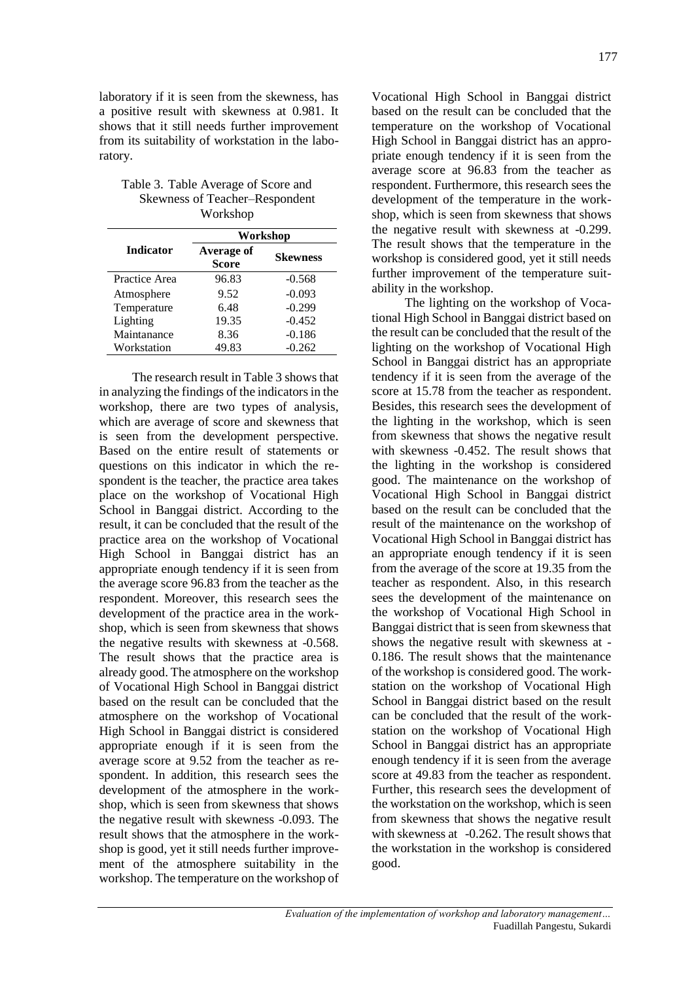laboratory if it is seen from the skewness, has a positive result with skewness at 0.981. It shows that it still needs further improvement from its suitability of workstation in the laboratory.

Table 3. Table Average of Score and Skewness of Teacher–Respondent Workshop

|                  | Workshop                   |                 |
|------------------|----------------------------|-----------------|
| <b>Indicator</b> | Average of<br><b>Score</b> | <b>Skewness</b> |
| Practice Area    | 96.83                      | $-0.568$        |
| Atmosphere       | 9.52                       | $-0.093$        |
| Temperature      | 6.48                       | $-0.299$        |
| Lighting         | 19.35                      | $-0.452$        |
| Maintanance      | 8.36                       | $-0.186$        |
| Workstation      | 49.83                      | $-0.262$        |

The research result in Table 3 shows that in analyzing the findings of the indicators in the workshop, there are two types of analysis, which are average of score and skewness that is seen from the development perspective. Based on the entire result of statements or questions on this indicator in which the respondent is the teacher, the practice area takes place on the workshop of Vocational High School in Banggai district. According to the result, it can be concluded that the result of the practice area on the workshop of Vocational High School in Banggai district has an appropriate enough tendency if it is seen from the average score 96.83 from the teacher as the respondent. Moreover, this research sees the development of the practice area in the workshop, which is seen from skewness that shows the negative results with skewness at -0.568. The result shows that the practice area is already good. The atmosphere on the workshop of Vocational High School in Banggai district based on the result can be concluded that the atmosphere on the workshop of Vocational High School in Banggai district is considered appropriate enough if it is seen from the average score at 9.52 from the teacher as respondent. In addition, this research sees the development of the atmosphere in the workshop, which is seen from skewness that shows the negative result with skewness -0.093. The result shows that the atmosphere in the workshop is good, yet it still needs further improvement of the atmosphere suitability in the workshop. The temperature on the workshop of

Vocational High School in Banggai district based on the result can be concluded that the temperature on the workshop of Vocational High School in Banggai district has an appropriate enough tendency if it is seen from the average score at 96.83 from the teacher as respondent. Furthermore, this research sees the development of the temperature in the workshop, which is seen from skewness that shows the negative result with skewness at -0.299. The result shows that the temperature in the workshop is considered good, yet it still needs further improvement of the temperature suitability in the workshop.

The lighting on the workshop of Vocational High School in Banggai district based on the result can be concluded that the result of the lighting on the workshop of Vocational High School in Banggai district has an appropriate tendency if it is seen from the average of the score at 15.78 from the teacher as respondent. Besides, this research sees the development of the lighting in the workshop, which is seen from skewness that shows the negative result with skewness -0.452. The result shows that the lighting in the workshop is considered good. The maintenance on the workshop of Vocational High School in Banggai district based on the result can be concluded that the result of the maintenance on the workshop of Vocational High School in Banggai district has an appropriate enough tendency if it is seen from the average of the score at 19.35 from the teacher as respondent. Also, in this research sees the development of the maintenance on the workshop of Vocational High School in Banggai district that is seen from skewness that shows the negative result with skewness at - 0.186. The result shows that the maintenance of the workshop is considered good. The workstation on the workshop of Vocational High School in Banggai district based on the result can be concluded that the result of the workstation on the workshop of Vocational High School in Banggai district has an appropriate enough tendency if it is seen from the average score at 49.83 from the teacher as respondent. Further, this research sees the development of the workstation on the workshop, which is seen from skewness that shows the negative result with skewness at -0.262. The result shows that the workstation in the workshop is considered good.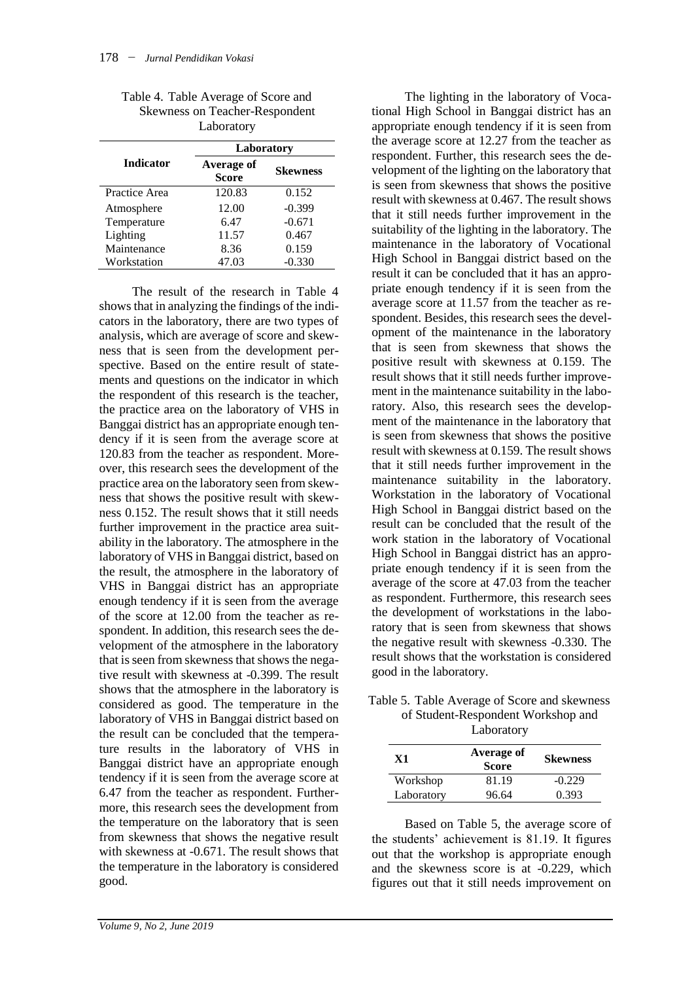| Table 4. Table Average of Score and   |
|---------------------------------------|
| <b>Skewness on Teacher-Respondent</b> |
| Laboratory                            |

|                  | Laboratory                 |                 |
|------------------|----------------------------|-----------------|
| <b>Indicator</b> | Average of<br><b>Score</b> | <b>Skewness</b> |
| Practice Area    | 120.83                     | 0.152           |
| Atmosphere       | 12.00                      | $-0.399$        |
| Temperature      | 6.47                       | $-0.671$        |
| Lighting         | 11.57                      | 0.467           |
| Maintenance      | 8.36                       | 0.159           |
| Workstation      | 47.03                      | $-0.330$        |

The result of the research in Table 4 shows that in analyzing the findings of the indicators in the laboratory, there are two types of analysis, which are average of score and skewness that is seen from the development perspective. Based on the entire result of statements and questions on the indicator in which the respondent of this research is the teacher, the practice area on the laboratory of VHS in Banggai district has an appropriate enough tendency if it is seen from the average score at 120.83 from the teacher as respondent. Moreover, this research sees the development of the practice area on the laboratory seen from skewness that shows the positive result with skewness 0.152. The result shows that it still needs further improvement in the practice area suitability in the laboratory. The atmosphere in the laboratory of VHS in Banggai district, based on the result, the atmosphere in the laboratory of VHS in Banggai district has an appropriate enough tendency if it is seen from the average of the score at 12.00 from the teacher as respondent. In addition, this research sees the development of the atmosphere in the laboratory that is seen from skewness that shows the negative result with skewness at -0.399. The result shows that the atmosphere in the laboratory is considered as good. The temperature in the laboratory of VHS in Banggai district based on the result can be concluded that the temperature results in the laboratory of VHS in Banggai district have an appropriate enough tendency if it is seen from the average score at 6.47 from the teacher as respondent. Furthermore, this research sees the development from the temperature on the laboratory that is seen from skewness that shows the negative result with skewness at -0.671. The result shows that the temperature in the laboratory is considered good.

good in the laboratory.

tional High School in Banggai district has an appropriate enough tendency if it is seen from the average score at 12.27 from the teacher as respondent. Further, this research sees the development of the lighting on the laboratory that is seen from skewness that shows the positive result with skewness at 0.467. The result shows that it still needs further improvement in the suitability of the lighting in the laboratory. The maintenance in the laboratory of Vocational High School in Banggai district based on the result it can be concluded that it has an appropriate enough tendency if it is seen from the average score at 11.57 from the teacher as respondent. Besides, this research sees the development of the maintenance in the laboratory that is seen from skewness that shows the positive result with skewness at 0.159. The result shows that it still needs further improvement in the maintenance suitability in the laboratory. Also, this research sees the development of the maintenance in the laboratory that is seen from skewness that shows the positive result with skewness at 0.159. The result shows that it still needs further improvement in the maintenance suitability in the laboratory. Workstation in the laboratory of Vocational High School in Banggai district based on the result can be concluded that the result of the work station in the laboratory of Vocational High School in Banggai district has an appropriate enough tendency if it is seen from the average of the score at 47.03 from the teacher as respondent. Furthermore, this research sees the development of workstations in the laboratory that is seen from skewness that shows the negative result with skewness -0.330. The result shows that the workstation is considered

The lighting in the laboratory of Voca-

| Table 5. Table Average of Score and skewness |
|----------------------------------------------|
| of Student-Respondent Workshop and           |
| Lohonotomy                                   |

| Laborator y |                            |                 |
|-------------|----------------------------|-----------------|
| X1          | Average of<br><b>Score</b> | <b>Skewness</b> |
| Workshop    | 81.19                      | $-0.229$        |
| Laboratory  | 96.64                      | 0.393           |

Based on Table 5, the average score of the students' achievement is 81.19. It figures out that the workshop is appropriate enough and the skewness score is at -0.229, which figures out that it still needs improvement on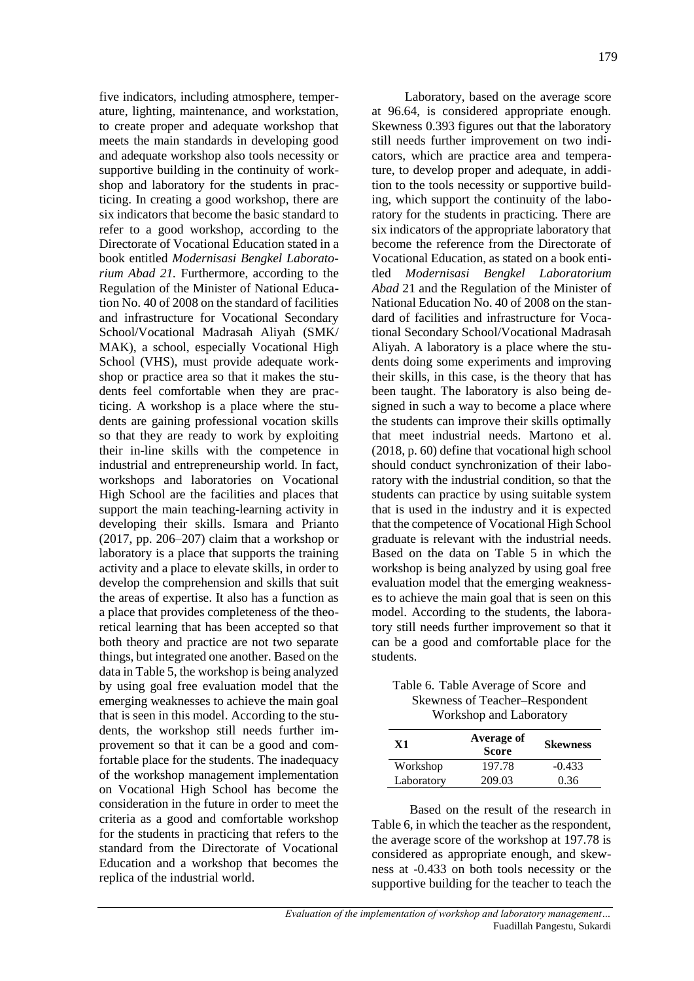five indicators, including atmosphere, temperature, lighting, maintenance, and workstation, to create proper and adequate workshop that meets the main standards in developing good and adequate workshop also tools necessity or supportive building in the continuity of workshop and laboratory for the students in practicing. In creating a good workshop, there are six indicators that become the basic standard to refer to a good workshop, according to the Directorate of Vocational Education stated in a book entitled *Modernisasi Bengkel Laboratorium Abad 21.* Furthermore, according to the Regulation of the Minister of National Education No. 40 of 2008 on the standard of facilities and infrastructure for Vocational Secondary School/Vocational Madrasah Aliyah (SMK/ MAK), a school, especially Vocational High School (VHS), must provide adequate workshop or practice area so that it makes the students feel comfortable when they are practicing. A workshop is a place where the students are gaining professional vocation skills so that they are ready to work by exploiting their in-line skills with the competence in industrial and entrepreneurship world. In fact, workshops and laboratories on Vocational High School are the facilities and places that support the main teaching-learning activity in developing their skills. Ismara and Prianto (2017, pp. 206–207) claim that a workshop or laboratory is a place that supports the training activity and a place to elevate skills, in order to develop the comprehension and skills that suit the areas of expertise. It also has a function as a place that provides completeness of the theoretical learning that has been accepted so that both theory and practice are not two separate things, but integrated one another. Based on the data in Table 5, the workshop is being analyzed by using goal free evaluation model that the emerging weaknesses to achieve the main goal that is seen in this model. According to the students, the workshop still needs further improvement so that it can be a good and comfortable place for the students. The inadequacy of the workshop management implementation on Vocational High School has become the consideration in the future in order to meet the criteria as a good and comfortable workshop for the students in practicing that refers to the standard from the Directorate of Vocational Education and a workshop that becomes the replica of the industrial world.

Laboratory, based on the average score at 96.64, is considered appropriate enough. Skewness 0.393 figures out that the laboratory still needs further improvement on two indicators, which are practice area and temperature, to develop proper and adequate, in addition to the tools necessity or supportive building, which support the continuity of the laboratory for the students in practicing. There are six indicators of the appropriate laboratory that become the reference from the Directorate of Vocational Education, as stated on a book entitled *Modernisasi Bengkel Laboratorium Abad* 21 and the Regulation of the Minister of National Education No. 40 of 2008 on the standard of facilities and infrastructure for Vocational Secondary School/Vocational Madrasah Aliyah. A laboratory is a place where the students doing some experiments and improving their skills, in this case, is the theory that has been taught. The laboratory is also being designed in such a way to become a place where the students can improve their skills optimally that meet industrial needs. Martono et al. (2018, p. 60) define that vocational high school should conduct synchronization of their laboratory with the industrial condition, so that the students can practice by using suitable system that is used in the industry and it is expected that the competence of Vocational High School graduate is relevant with the industrial needs. Based on the data on Table 5 in which the workshop is being analyzed by using goal free evaluation model that the emerging weaknesses to achieve the main goal that is seen on this model. According to the students, the laboratory still needs further improvement so that it can be a good and comfortable place for the students.

Table 6. Table Average of Score and Skewness of Teacher–Respondent Workshop and Laboratory

| X1         | Average of<br><b>Score</b> | <b>Skewness</b> |
|------------|----------------------------|-----------------|
| Workshop   | 197.78                     | $-0.433$        |
| Laboratory | 209.03                     | 0.36            |

Based on the result of the research in Table 6, in which the teacher as the respondent, the average score of the workshop at 197.78 is considered as appropriate enough, and skewness at -0.433 on both tools necessity or the supportive building for the teacher to teach the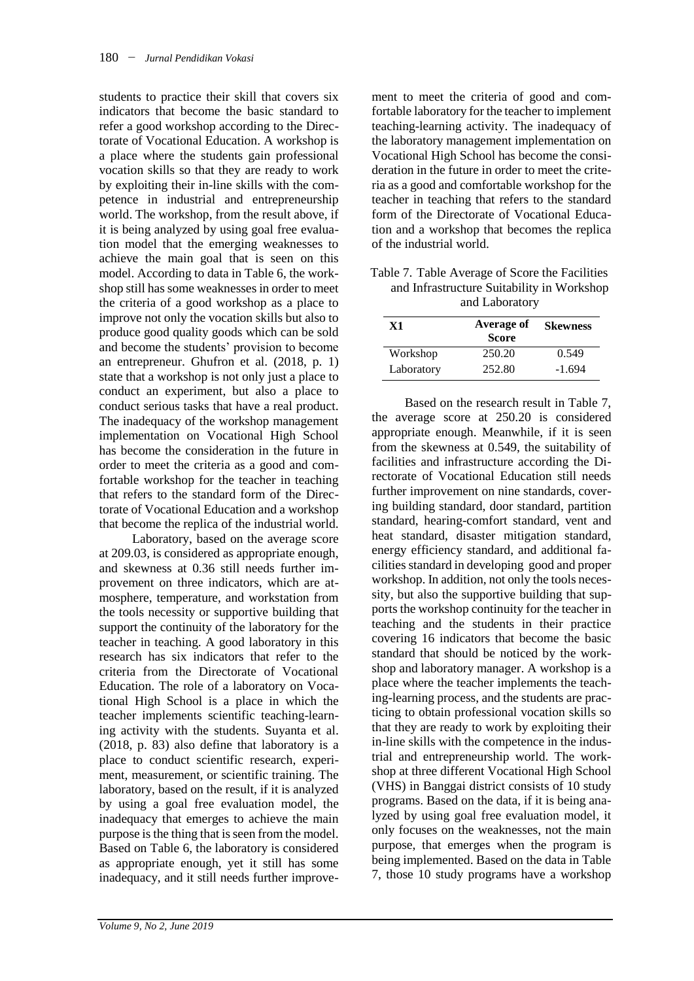students to practice their skill that covers six indicators that become the basic standard to refer a good workshop according to the Directorate of Vocational Education. A workshop is a place where the students gain professional vocation skills so that they are ready to work by exploiting their in-line skills with the competence in industrial and entrepreneurship world. The workshop, from the result above, if it is being analyzed by using goal free evaluation model that the emerging weaknesses to achieve the main goal that is seen on this model. According to data in Table 6, the workshop still has some weaknesses in order to meet the criteria of a good workshop as a place to improve not only the vocation skills but also to produce good quality goods which can be sold and become the students' provision to become an entrepreneur. Ghufron et al. (2018, p. 1) state that a workshop is not only just a place to conduct an experiment, but also a place to conduct serious tasks that have a real product. The inadequacy of the workshop management implementation on Vocational High School has become the consideration in the future in order to meet the criteria as a good and comfortable workshop for the teacher in teaching that refers to the standard form of the Directorate of Vocational Education and a workshop that become the replica of the industrial world.

Laboratory, based on the average score at 209.03, is considered as appropriate enough, and skewness at 0.36 still needs further improvement on three indicators, which are atmosphere, temperature, and workstation from the tools necessity or supportive building that support the continuity of the laboratory for the teacher in teaching. A good laboratory in this research has six indicators that refer to the criteria from the Directorate of Vocational Education. The role of a laboratory on Vocational High School is a place in which the teacher implements scientific teaching-learning activity with the students. Suyanta et al. (2018, p. 83) also define that laboratory is a place to conduct scientific research, experiment, measurement, or scientific training. The laboratory, based on the result, if it is analyzed by using a goal free evaluation model, the inadequacy that emerges to achieve the main purpose is the thing that is seen from the model. Based on Table 6, the laboratory is considered as appropriate enough, yet it still has some inadequacy, and it still needs further improve-

ment to meet the criteria of good and comfortable laboratory for the teacher to implement teaching-learning activity. The inadequacy of the laboratory management implementation on Vocational High School has become the consideration in the future in order to meet the criteria as a good and comfortable workshop for the teacher in teaching that refers to the standard form of the Directorate of Vocational Education and a workshop that becomes the replica of the industrial world.

Table 7. Table Average of Score the Facilities and Infrastructure Suitability in Workshop and Laboratory

| X1         | Average of<br><b>Score</b> | <b>Skewness</b> |
|------------|----------------------------|-----------------|
| Workshop   | 250.20                     | 0.549           |
| Laboratory | 252.80                     | $-1.694$        |

Based on the research result in Table 7, the average score at 250.20 is considered appropriate enough. Meanwhile, if it is seen from the skewness at 0.549, the suitability of facilities and infrastructure according the Directorate of Vocational Education still needs further improvement on nine standards, covering building standard, door standard, partition standard, hearing-comfort standard, vent and heat standard, disaster mitigation standard, energy efficiency standard, and additional facilities standard in developing good and proper workshop. In addition, not only the tools necessity, but also the supportive building that supports the workshop continuity for the teacher in teaching and the students in their practice covering 16 indicators that become the basic standard that should be noticed by the workshop and laboratory manager. A workshop is a place where the teacher implements the teaching-learning process, and the students are practicing to obtain professional vocation skills so that they are ready to work by exploiting their in-line skills with the competence in the industrial and entrepreneurship world. The workshop at three different Vocational High School (VHS) in Banggai district consists of 10 study programs. Based on the data, if it is being analyzed by using goal free evaluation model, it only focuses on the weaknesses, not the main purpose, that emerges when the program is being implemented. Based on the data in Table 7, those 10 study programs have a workshop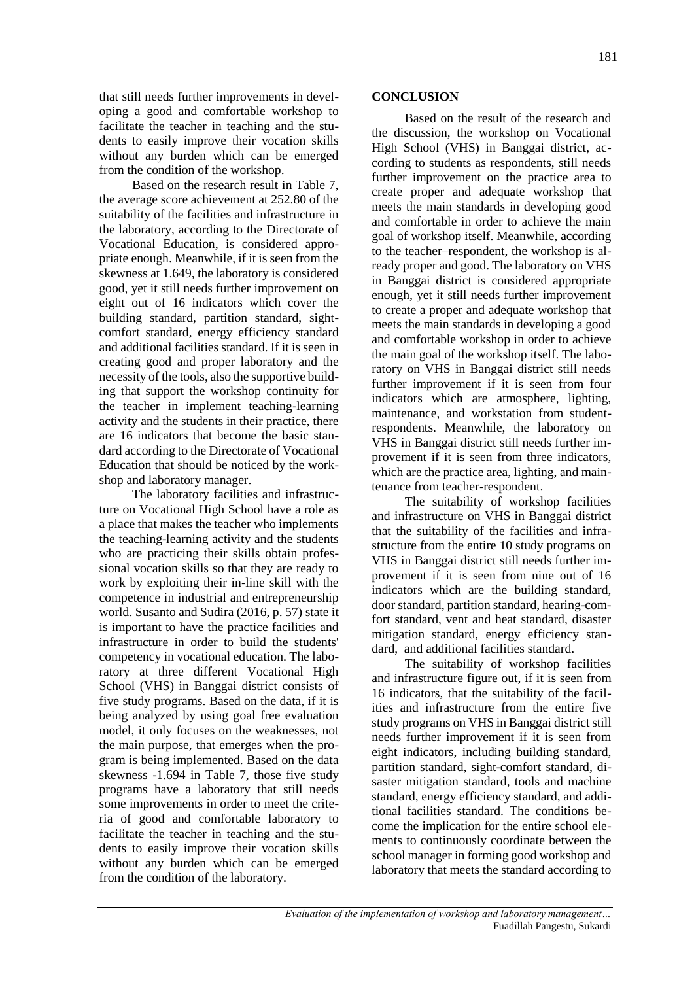that still needs further improvements in developing a good and comfortable workshop to facilitate the teacher in teaching and the students to easily improve their vocation skills without any burden which can be emerged from the condition of the workshop.

Based on the research result in Table 7, the average score achievement at 252.80 of the suitability of the facilities and infrastructure in the laboratory, according to the Directorate of Vocational Education, is considered appropriate enough. Meanwhile, if it is seen from the skewness at 1.649, the laboratory is considered good, yet it still needs further improvement on eight out of 16 indicators which cover the building standard, partition standard, sightcomfort standard, energy efficiency standard and additional facilities standard. If it is seen in creating good and proper laboratory and the necessity of the tools, also the supportive building that support the workshop continuity for the teacher in implement teaching-learning activity and the students in their practice, there are 16 indicators that become the basic standard according to the Directorate of Vocational Education that should be noticed by the workshop and laboratory manager.

The laboratory facilities and infrastructure on Vocational High School have a role as a place that makes the teacher who implements the teaching-learning activity and the students who are practicing their skills obtain professional vocation skills so that they are ready to work by exploiting their in-line skill with the competence in industrial and entrepreneurship world. Susanto and Sudira (2016, p. 57) state it is important to have the practice facilities and infrastructure in order to build the students' competency in vocational education. The laboratory at three different Vocational High School (VHS) in Banggai district consists of five study programs. Based on the data, if it is being analyzed by using goal free evaluation model, it only focuses on the weaknesses, not the main purpose, that emerges when the program is being implemented. Based on the data skewness -1.694 in Table 7, those five study programs have a laboratory that still needs some improvements in order to meet the criteria of good and comfortable laboratory to facilitate the teacher in teaching and the students to easily improve their vocation skills without any burden which can be emerged from the condition of the laboratory.

#### **CONCLUSION**

Based on the result of the research and the discussion, the workshop on Vocational High School (VHS) in Banggai district, according to students as respondents, still needs further improvement on the practice area to create proper and adequate workshop that meets the main standards in developing good and comfortable in order to achieve the main goal of workshop itself. Meanwhile, according to the teacher–respondent, the workshop is already proper and good. The laboratory on VHS in Banggai district is considered appropriate enough, yet it still needs further improvement to create a proper and adequate workshop that meets the main standards in developing a good and comfortable workshop in order to achieve the main goal of the workshop itself. The laboratory on VHS in Banggai district still needs further improvement if it is seen from four indicators which are atmosphere, lighting, maintenance, and workstation from studentrespondents. Meanwhile, the laboratory on VHS in Banggai district still needs further improvement if it is seen from three indicators, which are the practice area, lighting, and maintenance from teacher-respondent.

The suitability of workshop facilities and infrastructure on VHS in Banggai district that the suitability of the facilities and infrastructure from the entire 10 study programs on VHS in Banggai district still needs further improvement if it is seen from nine out of 16 indicators which are the building standard, door standard, partition standard, hearing-comfort standard, vent and heat standard, disaster mitigation standard, energy efficiency standard, and additional facilities standard.

The suitability of workshop facilities and infrastructure figure out, if it is seen from 16 indicators, that the suitability of the facilities and infrastructure from the entire five study programs on VHS in Banggai district still needs further improvement if it is seen from eight indicators, including building standard, partition standard, sight-comfort standard, disaster mitigation standard, tools and machine standard, energy efficiency standard, and additional facilities standard. The conditions become the implication for the entire school elements to continuously coordinate between the school manager in forming good workshop and laboratory that meets the standard according to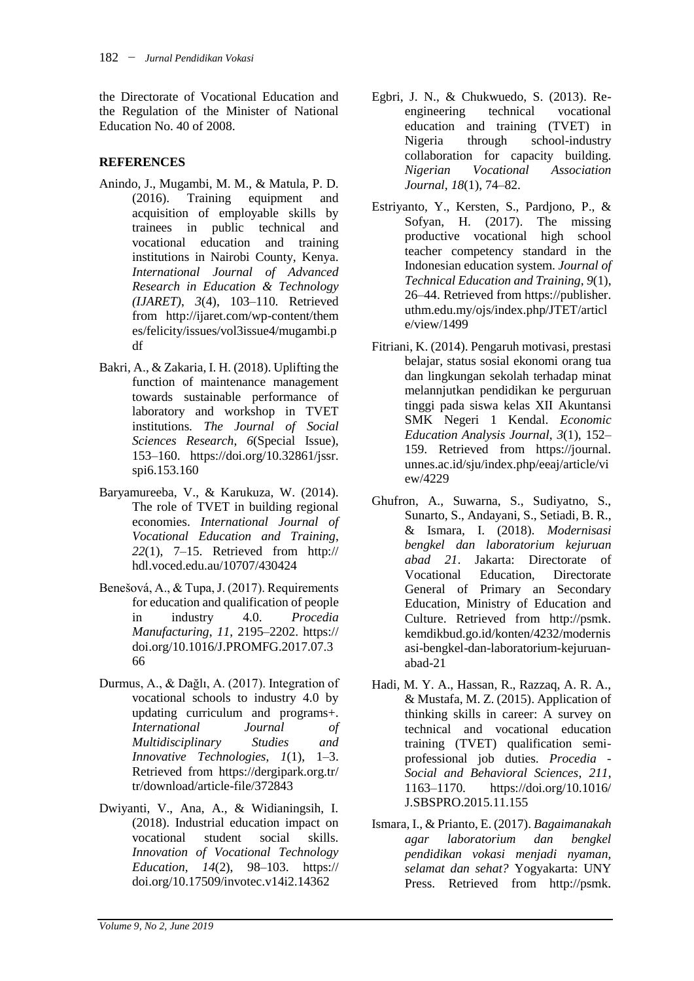the Directorate of Vocational Education and the Regulation of the Minister of National Education No. 40 of 2008.

## **REFERENCES**

- Anindo, J., Mugambi, M. M., & Matula, P. D. (2016). Training equipment and acquisition of employable skills by trainees in public technical and vocational education and training institutions in Nairobi County, Kenya. *International Journal of Advanced Research in Education & Technology (IJARET)*, *3*(4), 103–110. Retrieved from http://ijaret.com/wp-content/them es/felicity/issues/vol3issue4/mugambi.p df
- Bakri, A., & Zakaria, I. H. (2018). Uplifting the function of maintenance management towards sustainable performance of laboratory and workshop in TVET institutions. *The Journal of Social Sciences Research*, *6*(Special Issue), 153–160. https://doi.org/10.32861/jssr. spi6.153.160
- Baryamureeba, V., & Karukuza, W. (2014). The role of TVET in building regional economies. *International Journal of Vocational Education and Training*, *22*(1), 7–15. Retrieved from http:// hdl.voced.edu.au/10707/430424
- Benešová, A., & Tupa, J. (2017). Requirements for education and qualification of people in industry 4.0. *Procedia Manufacturing*, *11*, 2195–2202. https:// doi.org/10.1016/J.PROMFG.2017.07.3 66
- Durmus, A., & Dağlı, A. (2017). Integration of vocational schools to industry 4.0 by updating curriculum and programs+. *International Journal of Multidisciplinary Studies and Innovative Technologies*, *1*(1), 1–3. Retrieved from https://dergipark.org.tr/ tr/download/article-file/372843
- Dwiyanti, V., Ana, A., & Widianingsih, I. (2018). Industrial education impact on vocational student social skills. *Innovation of Vocational Technology Education*, *14*(2), 98–103. https:// doi.org/10.17509/invotec.v14i2.14362
- Egbri, J. N., & Chukwuedo, S. (2013). Reengineering technical vocational education and training (TVET) in Nigeria through school-industry collaboration for capacity building. *Nigerian Vocational Association Journal*, *18*(1), 74–82.
- Estriyanto, Y., Kersten, S., Pardjono, P., & Sofyan, H. (2017). The missing productive vocational high school teacher competency standard in the Indonesian education system. *Journal of Technical Education and Training*, *9*(1), 26–44. Retrieved from https://publisher. uthm.edu.my/ojs/index.php/JTET/articl e/view/1499
- Fitriani, K. (2014). Pengaruh motivasi, prestasi belajar, status sosial ekonomi orang tua dan lingkungan sekolah terhadap minat melannjutkan pendidikan ke perguruan tinggi pada siswa kelas XII Akuntansi SMK Negeri 1 Kendal. *Economic Education Analysis Journal*, *3*(1), 152– 159. Retrieved from https://journal. unnes.ac.id/sju/index.php/eeaj/article/vi ew/4229
- Ghufron, A., Suwarna, S., Sudiyatno, S., Sunarto, S., Andayani, S., Setiadi, B. R., & Ismara, I. (2018). *Modernisasi bengkel dan laboratorium kejuruan abad 21*. Jakarta: Directorate of Vocational Education, Directorate General of Primary an Secondary Education, Ministry of Education and Culture. Retrieved from http://psmk. kemdikbud.go.id/konten/4232/modernis asi-bengkel-dan-laboratorium-kejuruanabad-21
- Hadi, M. Y. A., Hassan, R., Razzaq, A. R. A., & Mustafa, M. Z. (2015). Application of thinking skills in career: A survey on technical and vocational education training (TVET) qualification semiprofessional job duties. *Procedia - Social and Behavioral Sciences*, *211*, 1163–1170. https://doi.org/10.1016/ J.SBSPRO.2015.11.155
- Ismara, I., & Prianto, E. (2017). *Bagaimanakah agar laboratorium dan bengkel pendidikan vokasi menjadi nyaman, selamat dan sehat?* Yogyakarta: UNY Press. Retrieved from http://psmk.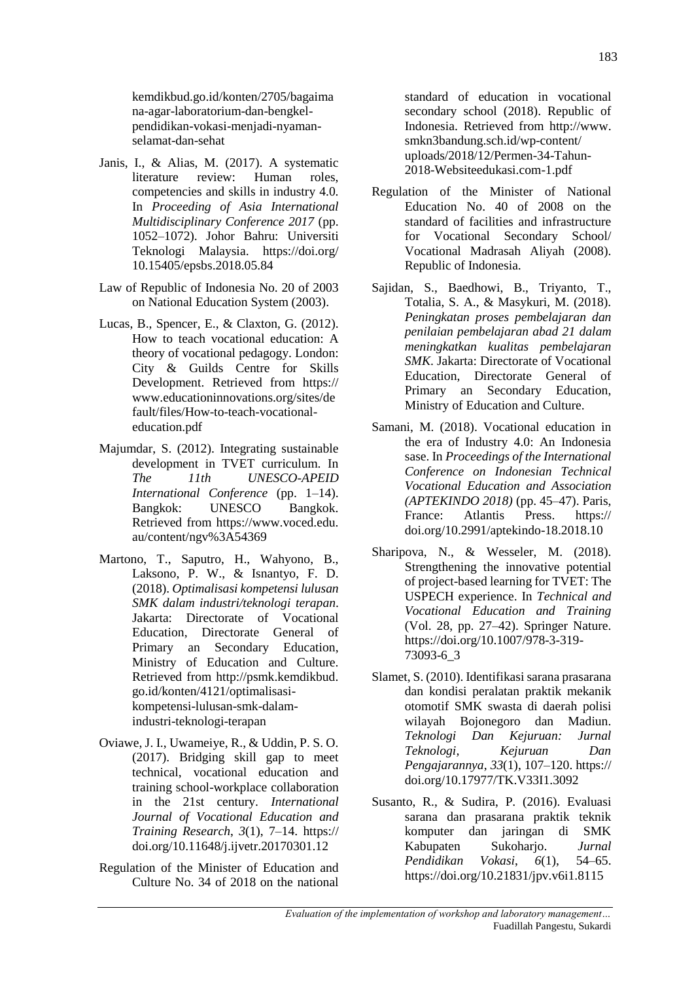kemdikbud.go.id/konten/2705/bagaima na-agar-laboratorium-dan-bengkelpendidikan-vokasi-menjadi-nyamanselamat-dan-sehat

- Janis, I., & Alias, M. (2017). A systematic literature review: Human roles, competencies and skills in industry 4.0. In *Proceeding of Asia International Multidisciplinary Conference 2017* (pp. 1052–1072). Johor Bahru: Universiti Teknologi Malaysia. https://doi.org/ 10.15405/epsbs.2018.05.84
- Law of Republic of Indonesia No. 20 of 2003 on National Education System (2003).
- Lucas, B., Spencer, E., & Claxton, G. (2012). How to teach vocational education: A theory of vocational pedagogy. London: City & Guilds Centre for Skills Development. Retrieved from https:// www.educationinnovations.org/sites/de fault/files/How-to-teach-vocationaleducation.pdf
- Majumdar, S. (2012). Integrating sustainable development in TVET curriculum. In *The 11th UNESCO-APEID International Conference* (pp. 1–14). Bangkok: UNESCO Bangkok. Retrieved from https://www.voced.edu. au/content/ngv%3A54369
- Martono, T., Saputro, H., Wahyono, B., Laksono, P. W., & Isnantyo, F. D. (2018). *Optimalisasi kompetensi lulusan SMK dalam industri/teknologi terapan*. Jakarta: Directorate of Vocational Education, Directorate General of Primary an Secondary Education, Ministry of Education and Culture. Retrieved from http://psmk.kemdikbud. go.id/konten/4121/optimalisasikompetensi-lulusan-smk-dalamindustri-teknologi-terapan
- Oviawe, J. I., Uwameiye, R., & Uddin, P. S. O. (2017). Bridging skill gap to meet technical, vocational education and training school-workplace collaboration in the 21st century. *International Journal of Vocational Education and Training Research*, *3*(1), 7–14. https:// doi.org/10.11648/j.ijvetr.20170301.12
- Regulation of the Minister of Education and Culture No. 34 of 2018 on the national

standard of education in vocational secondary school (2018). Republic of Indonesia. Retrieved from http://www. smkn3bandung.sch.id/wp-content/ uploads/2018/12/Permen-34-Tahun-2018-Websiteedukasi.com-1.pdf

- Regulation of the Minister of National Education No. 40 of 2008 on the standard of facilities and infrastructure for Vocational Secondary School/ Vocational Madrasah Aliyah (2008). Republic of Indonesia.
- Sajidan, S., Baedhowi, B., Triyanto, T., Totalia, S. A., & Masykuri, M. (2018). *Peningkatan proses pembelajaran dan penilaian pembelajaran abad 21 dalam meningkatkan kualitas pembelajaran SMK*. Jakarta: Directorate of Vocational Education, Directorate General of Primary an Secondary Education, Ministry of Education and Culture.
- Samani, M. (2018). Vocational education in the era of Industry 4.0: An Indonesia sase. In *Proceedings of the International Conference on Indonesian Technical Vocational Education and Association (APTEKINDO 2018)* (pp. 45–47). Paris, France: Atlantis Press. https:// doi.org/10.2991/aptekindo-18.2018.10
- Sharipova, N., & Wesseler, M. (2018). Strengthening the innovative potential of project-based learning for TVET: The USPECH experience. In *Technical and Vocational Education and Training* (Vol. 28, pp. 27–42). Springer Nature. https://doi.org/10.1007/978-3-319- 73093-6\_3
- Slamet, S. (2010). Identifikasi sarana prasarana dan kondisi peralatan praktik mekanik otomotif SMK swasta di daerah polisi wilayah Bojonegoro dan Madiun. *Teknologi Dan Kejuruan: Jurnal Teknologi, Kejuruan Dan Pengajarannya*, *33*(1), 107–120. https:// doi.org/10.17977/TK.V33I1.3092
- Susanto, R., & Sudira, P. (2016). Evaluasi sarana dan prasarana praktik teknik komputer dan jaringan di SMK Kabupaten Sukoharjo. *Jurnal Pendidikan Vokasi*, *6*(1), 54–65. https://doi.org/10.21831/jpv.v6i1.8115